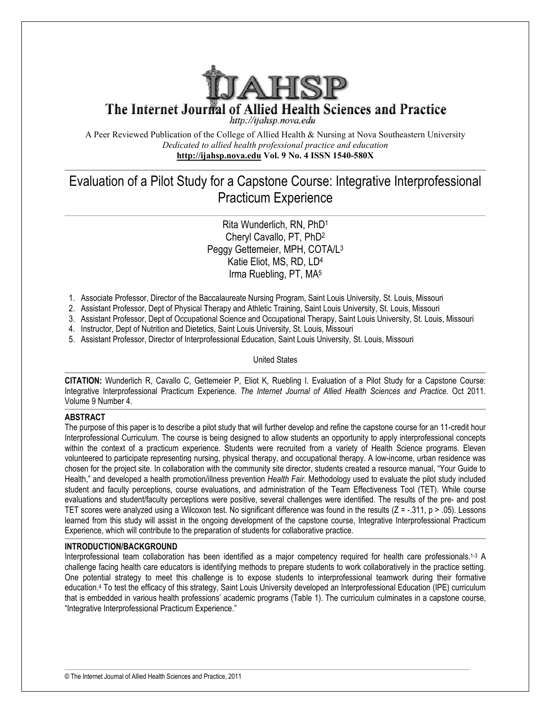

A Peer Reviewed Publication of the College of Allied Health & Nursing at Nova Southeastern University *Dedicated to allied health professional practice and education* **http://ijahsp.nova.edu http://ijahsp.nova.edu Vol. 9 No. 4 ISSN 1540-580X** 

# Evaluation of a Pilot Study for a Capstone Course: Integrative Interprofessional of Pilot Capstone Course: Practicum Experience

## Rita Wunderlich, RN, PhD<sup>1</sup> Cheryl Cavallo, PT, PhD<sup>2</sup> Peggy Gettemeier, MPH, COTA/L<sup>3</sup> Katie Eliot, MS, RD, LD<sup>4</sup> Irma Ruebling, PT, MA<sup>5</sup>

- 1. Associate Professor, Director of the Baccalaureate Nursing Program, Saint Louis University, St. Louis, Missouri
- 2. Assistant Professor, Dept of Physical Therapy and Athletic Training, Saint Louis University, St. Louis, Missouri
- 3. Assistant Professor, Dept of Occupational Science and Occupational Therapy, Saint Louis University, St. Louis, Missouri
- 4. Instructor, Dept of Nutrition and Dietetics, Saint Louis University, St. Louis, Missouri
- 5. Assistant Professor, Director of Interprofessional Education, Saint Louis University, St. Louis, Missouri

United States

**CITATION:** Wunderlich R, Cavallo C, Gettemeier P, Eliot K, Ruebling I. Evaluation of a Pilot Study for a Capstone Integrative Interprofessional Practicum Experience. The Internet Journal of Allied Health Sciences and Practice. Oct 2011. Volume 9 Number 4.

## **ABSTRACT**

The purpose of this paper is to describe a pilot study that will further develop and refine the capstone course for an 11-credit hour Interprofessional Curriculum. The course is being designed to allow students an opportunity to apply interprofessional concepts Interprofessional Curriculum. The course is being designed to allow students an opportunity to apply interprofessional concepts<br>within the context of a practicum experience. Students were recruited from a variety of Health volunteered to participate representing nursing, physical therapy, and occupational therapy. A low-income, urban residence was chosen for the project site. In collaboration with the community site director, students created a resource manual, "Your Guide to Health," and developed a health promotion/illness prevention *Health Fair*. Methodology used to evaluate the pilot study included student and faculty perceptions, course evaluations, and administration of the Team Effectiveness Tool (TET). evaluations and student/faculty perceptions were positive, several challenges were identified. The results of the pre pre- and post evaluations and student/faculty perceptions were positive, several challenges were identified. The results of the pre- and post<br>TET scores were analyzed using a Wilcoxon test. No significant difference was found in the res learned from this study will assist in the ongoing development of the capstone course, Integrative Interprofessional Practicum Experience, which will contribute to the preparation of students for collaborative practice. Peer Reviewel Publistation of the College of Altital Feathine & Nussing at Nows Southern Higher And Higher And Higher And Higher And Higher And Higher And Higher And Higher And And Higher And And Higher College (and And An Associate Professional Corrido of the Baccalauserale Nuring Program, Saint Louis University, St. Louis, Missouri<br>Assistant Professor, Dept of Physical Therapy and Afhetic Training, Saint Louis University, St. Louis, Missou income, urban residence was<br>ource manual, "Your Guide to<br>aluate the pilot study included<br>ss Tool (TET). While course

## **INTRODUCTION/BACKGROUND**

Interprofessional team collaboration has been identified as a major competency required for health care professionals. challenge facing health care educators is identifying methods to prepare students to work collaboratively in the practice setting. One potential strategy to meet this challenge is to expose students to interprofessional teamwork during their formative education.<sup>4</sup> To test the efficacy of this strategy, Saint Louis University developed an Interprofessional Education (IPE) curriculum that is embedded in various health professions' academic programs (Table 1). The curriculum culminates in a capstone course, "Integrative Interprofessional Practicum Experience." learned from this study will assist in the ongoing development of the capstone course, Integrative Interprofessional Pract<br>Experience, which will contribute to the preparation of students for collaborative practice.<br>INTROD 1-3 A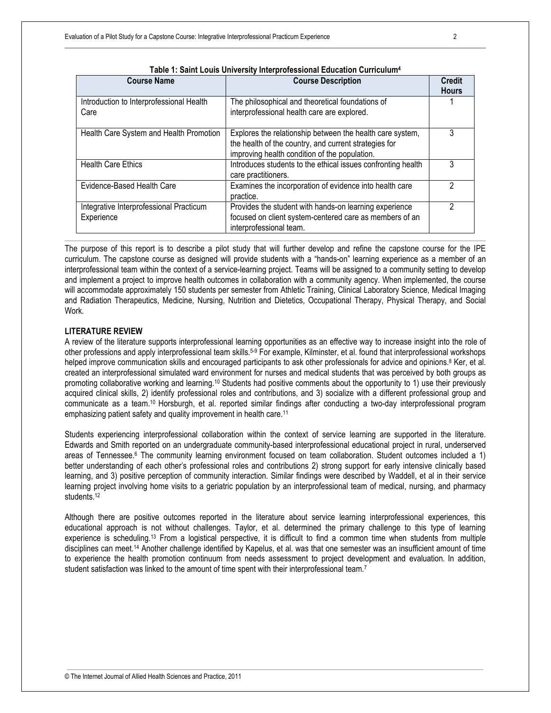| <b>Course Name</b>                                    | <b>Course Description</b>                                                                                                                                           | <b>Credit</b><br><b>Hours</b> |
|-------------------------------------------------------|---------------------------------------------------------------------------------------------------------------------------------------------------------------------|-------------------------------|
| Introduction to Interprofessional Health<br>Care      | The philosophical and theoretical foundations of<br>interprofessional health care are explored.                                                                     |                               |
| Health Care System and Health Promotion               | Explores the relationship between the health care system,<br>the health of the country, and current strategies for<br>improving health condition of the population. | 3                             |
| <b>Health Care Ethics</b>                             | Introduces students to the ethical issues confronting health<br>care practitioners.                                                                                 | 3                             |
| Evidence-Based Health Care                            | Examines the incorporation of evidence into health care<br>practice.                                                                                                | っ                             |
| Integrative Interprofessional Practicum<br>Experience | Provides the student with hands-on learning experience<br>focused on client system-centered care as members of an<br>interprofessional team.                        | 2                             |

The purpose of this report is to describe a pilot study that will further develop and refine the capstone course for the IPE curriculum. The capstone course as designed will provide students with a "hands-on" learning experience as a member of an interprofessional team within the context of a service-learning project. Teams will be assigned to a community setting to develop and implement a project to improve health outcomes in collaboration with a community agency. When implemented, the course will accommodate approximately 150 students per semester from Athletic Training, Clinical Laboratory Science, Medical Imaging and Radiation Therapeutics, Medicine, Nursing, Nutrition and Dietetics, Occupational Therapy, Physical Therapy, and Social Work.

## **LITERATURE REVIEW**

A review of the literature supports interprofessional learning opportunities as an effective way to increase insight into the role of other professions and apply interprofessional team skills.<sup>5-9</sup> For example, Kilminster, et al. found that interprofessional workshops helped improve communication skills and encouraged participants to ask other professionals for advice and opinions.<sup>8</sup> Ker, et al. created an interprofessional simulated ward environment for nurses and medical students that was perceived by both groups as promoting collaborative working and learning.10 Students had positive comments about the opportunity to 1) use their previously acquired clinical skills, 2) identify professional roles and contributions, and 3) socialize with a different professional group and communicate as a team.10 Horsburgh, et al. reported similar findings after conducting a two-day interprofessional program emphasizing patient safety and quality improvement in health care.<sup>11</sup>

Students experiencing interprofessional collaboration within the context of service learning are supported in the literature. Edwards and Smith reported on an undergraduate community-based interprofessional educational project in rural, underserved areas of Tennessee.<sup>6</sup> The community learning environment focused on team collaboration. Student outcomes included a 1) better understanding of each other's professional roles and contributions 2) strong support for early intensive clinically based learning, and 3) positive perception of community interaction. Similar findings were described by Waddell, et al in their service learning project involving home visits to a geriatric population by an interprofessional team of medical, nursing, and pharmacy students.<sup>12</sup>

Although there are positive outcomes reported in the literature about service learning interprofessional experiences, this educational approach is not without challenges. Taylor, et al. determined the primary challenge to this type of learning experience is scheduling.13 From a logistical perspective, it is difficult to find a common time when students from multiple disciplines can meet.14 Another challenge identified by Kapelus, et al. was that one semester was an insufficient amount of time to experience the health promotion continuum from needs assessment to project development and evaluation. In addition, student satisfaction was linked to the amount of time spent with their interprofessional team.<sup>7</sup>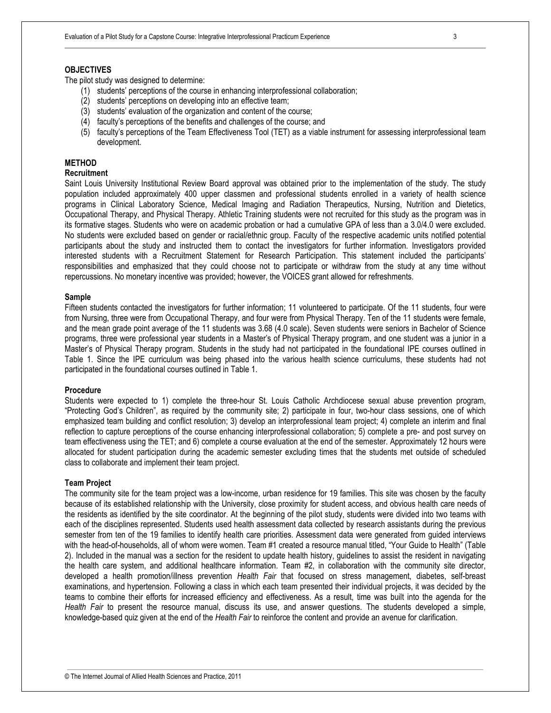## **OBJECTIVES**

The pilot study was designed to determine:

- (1) students' perceptions of the course in enhancing interprofessional collaboration;
- (2) students' perceptions on developing into an effective team;
- (3) students' evaluation of the organization and content of the course;
- (4) faculty's perceptions of the benefits and challenges of the course; and
- (5) faculty's perceptions of the Team Effectiveness Tool (TET) as a viable instrument for assessing interprofessional team development.

## **METHOD**

## **Recruitment**

Saint Louis University Institutional Review Board approval was obtained prior to the implementation of the study. The study population included approximately 400 upper classmen and professional students enrolled in a variety of health science programs in Clinical Laboratory Science, Medical Imaging and Radiation Therapeutics, Nursing, Nutrition and Dietetics, Occupational Therapy, and Physical Therapy. Athletic Training students were not recruited for this study as the program was in its formative stages. Students who were on academic probation or had a cumulative GPA of less than a 3.0/4.0 were excluded. No students were excluded based on gender or racial/ethnic group. Faculty of the respective academic units notified potential participants about the study and instructed them to contact the investigators for further information. Investigators provided interested students with a Recruitment Statement for Research Participation. This statement included the participants' responsibilities and emphasized that they could choose not to participate or withdraw from the study at any time without repercussions. No monetary incentive was provided; however, the VOICES grant allowed for refreshments.

## **Sample**

Fifteen students contacted the investigators for further information; 11 volunteered to participate. Of the 11 students, four were from Nursing, three were from Occupational Therapy, and four were from Physical Therapy. Ten of the 11 students were female, and the mean grade point average of the 11 students was 3.68 (4.0 scale). Seven students were seniors in Bachelor of Science programs, three were professional year students in a Master's of Physical Therapy program, and one student was a junior in a Master's of Physical Therapy program. Students in the study had not participated in the foundational IPE courses outlined in Table 1. Since the IPE curriculum was being phased into the various health science curriculums, these students had not participated in the foundational courses outlined in Table 1.

#### **Procedure**

Students were expected to 1) complete the three-hour St. Louis Catholic Archdiocese sexual abuse prevention program, "Protecting God's Children", as required by the community site; 2) participate in four, two-hour class sessions, one of which emphasized team building and conflict resolution; 3) develop an interprofessional team project; 4) complete an interim and final reflection to capture perceptions of the course enhancing interprofessional collaboration; 5) complete a pre- and post survey on team effectiveness using the TET; and 6) complete a course evaluation at the end of the semester. Approximately 12 hours were allocated for student participation during the academic semester excluding times that the students met outside of scheduled class to collaborate and implement their team project.

#### **Team Project**

The community site for the team project was a low-income, urban residence for 19 families. This site was chosen by the faculty because of its established relationship with the University, close proximity for student access, and obvious health care needs of the residents as identified by the site coordinator. At the beginning of the pilot study, students were divided into two teams with each of the disciplines represented. Students used health assessment data collected by research assistants during the previous semester from ten of the 19 families to identify health care priorities. Assessment data were generated from guided interviews with the head-of-households, all of whom were women. Team #1 created a resource manual titled, "Your Guide to Health" (Table 2). Included in the manual was a section for the resident to update health history, guidelines to assist the resident in navigating the health care system, and additional healthcare information. Team #2, in collaboration with the community site director, developed a health promotion/illness prevention *Health Fair* that focused on stress management, diabetes, self-breast examinations, and hypertension. Following a class in which each team presented their individual projects, it was decided by the teams to combine their efforts for increased efficiency and effectiveness. As a result, time was built into the agenda for the *Health Fair* to present the resource manual, discuss its use, and answer questions. The students developed a simple, knowledge-based quiz given at the end of the *Health Fair* to reinforce the content and provide an avenue for clarification.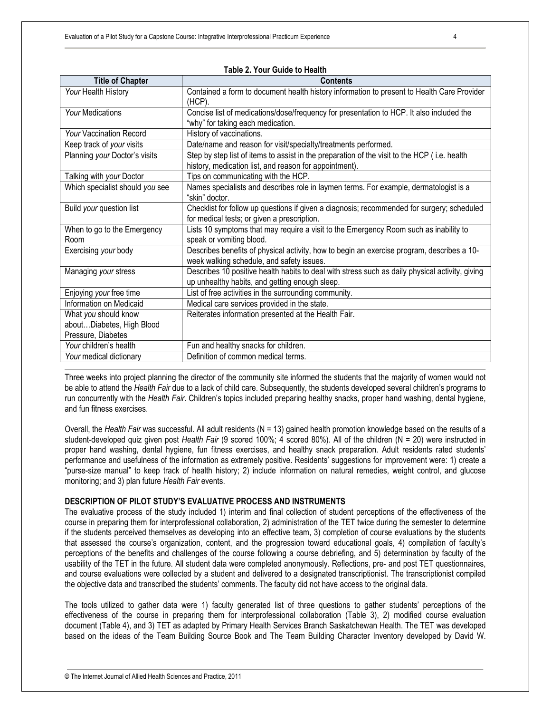| Taple 2. Your Guide to Health   |                                                                                                 |  |  |  |  |  |
|---------------------------------|-------------------------------------------------------------------------------------------------|--|--|--|--|--|
| <b>Title of Chapter</b>         | <b>Contents</b>                                                                                 |  |  |  |  |  |
| Your Health History             | Contained a form to document health history information to present to Health Care Provider      |  |  |  |  |  |
|                                 | (HCP).                                                                                          |  |  |  |  |  |
| Your Medications                | Concise list of medications/dose/frequency for presentation to HCP. It also included the        |  |  |  |  |  |
|                                 | "why" for taking each medication.                                                               |  |  |  |  |  |
| <b>Your Vaccination Record</b>  | History of vaccinations.                                                                        |  |  |  |  |  |
| Keep track of your visits       | Date/name and reason for visit/specialty/treatments performed.                                  |  |  |  |  |  |
| Planning your Doctor's visits   | Step by step list of items to assist in the preparation of the visit to the HCP (i.e. health    |  |  |  |  |  |
|                                 | history, medication list, and reason for appointment).                                          |  |  |  |  |  |
| Talking with your Doctor        | Tips on communicating with the HCP.                                                             |  |  |  |  |  |
| Which specialist should you see | Names specialists and describes role in laymen terms. For example, dermatologist is a           |  |  |  |  |  |
|                                 | "skin" doctor.                                                                                  |  |  |  |  |  |
| Build your question list        | Checklist for follow up questions if given a diagnosis; recommended for surgery; scheduled      |  |  |  |  |  |
|                                 | for medical tests; or given a prescription.                                                     |  |  |  |  |  |
| When to go to the Emergency     | Lists 10 symptoms that may require a visit to the Emergency Room such as inability to           |  |  |  |  |  |
| Room                            | speak or vomiting blood.                                                                        |  |  |  |  |  |
| Exercising your body            | Describes benefits of physical activity, how to begin an exercise program, describes a 10-      |  |  |  |  |  |
|                                 | week walking schedule, and safety issues.                                                       |  |  |  |  |  |
| Managing your stress            | Describes 10 positive health habits to deal with stress such as daily physical activity, giving |  |  |  |  |  |
|                                 | up unhealthy habits, and getting enough sleep.                                                  |  |  |  |  |  |
| Enjoying your free time         | List of free activities in the surrounding community.                                           |  |  |  |  |  |
| Information on Medicaid         | Medical care services provided in the state.                                                    |  |  |  |  |  |
| What you should know            | Reiterates information presented at the Health Fair.                                            |  |  |  |  |  |
| aboutDiabetes, High Blood       |                                                                                                 |  |  |  |  |  |
| Pressure, Diabetes              |                                                                                                 |  |  |  |  |  |
| Your children's health          | Fun and healthy snacks for children.                                                            |  |  |  |  |  |
| Your medical dictionary         | Definition of common medical terms.                                                             |  |  |  |  |  |

**Table 2. Your Guide to Health** 

Three weeks into project planning the director of the community site informed the students that the majority of women would not be able to attend the *Health Fair* due to a lack of child care. Subsequently, the students developed several children's programs to run concurrently with the *Health Fair*. Children's topics included preparing healthy snacks, proper hand washing, dental hygiene, and fun fitness exercises.

Overall, the *Health Fair* was successful. All adult residents (N = 13) gained health promotion knowledge based on the results of a student-developed quiz given post *Health Fair* (9 scored 100%; 4 scored 80%). All of the children (N = 20) were instructed in proper hand washing, dental hygiene, fun fitness exercises, and healthy snack preparation. Adult residents rated students' performance and usefulness of the information as extremely positive. Residents' suggestions for improvement were: 1) create a "purse-size manual" to keep track of health history; 2) include information on natural remedies, weight control, and glucose monitoring; and 3) plan future *Health Fair* events.

## **DESCRIPTION OF PILOT STUDY'S EVALUATIVE PROCESS AND INSTRUMENTS**

The evaluative process of the study included 1) interim and final collection of student perceptions of the effectiveness of the course in preparing them for interprofessional collaboration, 2) administration of the TET twice during the semester to determine if the students perceived themselves as developing into an effective team, 3) completion of course evaluations by the students that assessed the course's organization, content, and the progression toward educational goals, 4) compilation of faculty's perceptions of the benefits and challenges of the course following a course debriefing, and 5) determination by faculty of the usability of the TET in the future. All student data were completed anonymously. Reflections, pre- and post TET questionnaires, and course evaluations were collected by a student and delivered to a designated transcriptionist. The transcriptionist compiled the objective data and transcribed the students' comments. The faculty did not have access to the original data.

The tools utilized to gather data were 1) faculty generated list of three questions to gather students' perceptions of the effectiveness of the course in preparing them for interprofessional collaboration (Table 3), 2) modified course evaluation document (Table 4), and 3) TET as adapted by Primary Health Services Branch Saskatchewan Health. The TET was developed based on the ideas of the Team Building Source Book and The Team Building Character Inventory developed by David W.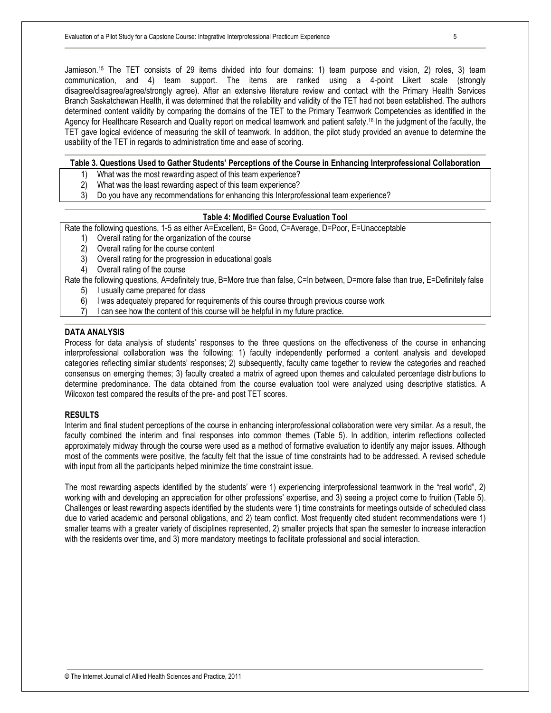Jamieson.15 The TET consists of 29 items divided into four domains: 1) team purpose and vision, 2) roles, 3) team communication, and 4) team support. The items are ranked using a 4-point Likert scale (strongly disagree/disagree/agree/strongly agree). After an extensive literature review and contact with the Primary Health Services Branch Saskatchewan Health, it was determined that the reliability and validity of the TET had not been established. The authors determined content validity by comparing the domains of the TET to the Primary Teamwork Competencies as identified in the Agency for Healthcare Research and Quality report on medical teamwork and patient safety.16 In the judgment of the faculty, the TET gave logical evidence of measuring the skill of teamwork. In addition, the pilot study provided an avenue to determine the usability of the TET in regards to administration time and ease of scoring.

## **Table 3. Questions Used to Gather Students' Perceptions of the Course in Enhancing Interprofessional Collaboration**

- 1) What was the most rewarding aspect of this team experience?<br>2) What was the least rewarding aspect of this team experience?
- 2) What was the least rewarding aspect of this team experience?
- 3) Do you have any recommendations for enhancing this Interprofessional team experience?

## **Table 4: Modified Course Evaluation Tool**

Rate the following questions, 1-5 as either A=Excellent, B= Good, C=Average, D=Poor, E=Unacceptable

- 1) Overall rating for the organization of the course
- 2) Overall rating for the course content
- 3) Overall rating for the progression in educational goals
- 4) Overall rating of the course

Rate the following questions, A=definitely true, B=More true than false, C=In between, D=more false than true, E=Definitely false

- 5) I usually came prepared for class
- 6) I was adequately prepared for requirements of this course through previous course work
- 7) I can see how the content of this course will be helpful in my future practice.

## **DATA ANALYSIS**

Process for data analysis of students' responses to the three questions on the effectiveness of the course in enhancing interprofessional collaboration was the following: 1) faculty independently performed a content analysis and developed categories reflecting similar students' responses; 2) subsequently, faculty came together to review the categories and reached consensus on emerging themes; 3) faculty created a matrix of agreed upon themes and calculated percentage distributions to determine predominance. The data obtained from the course evaluation tool were analyzed using descriptive statistics. A Wilcoxon test compared the results of the pre- and post TET scores.

## **RESULTS**

Interim and final student perceptions of the course in enhancing interprofessional collaboration were very similar. As a result, the faculty combined the interim and final responses into common themes (Table 5). In addition, interim reflections collected approximately midway through the course were used as a method of formative evaluation to identify any major issues. Although most of the comments were positive, the faculty felt that the issue of time constraints had to be addressed. A revised schedule with input from all the participants helped minimize the time constraint issue.

The most rewarding aspects identified by the students' were 1) experiencing interprofessional teamwork in the "real world", 2) working with and developing an appreciation for other professions' expertise, and 3) seeing a project come to fruition (Table 5). Challenges or least rewarding aspects identified by the students were 1) time constraints for meetings outside of scheduled class due to varied academic and personal obligations, and 2) team conflict. Most frequently cited student recommendations were 1) smaller teams with a greater variety of disciplines represented, 2) smaller projects that span the semester to increase interaction with the residents over time, and 3) more mandatory meetings to facilitate professional and social interaction.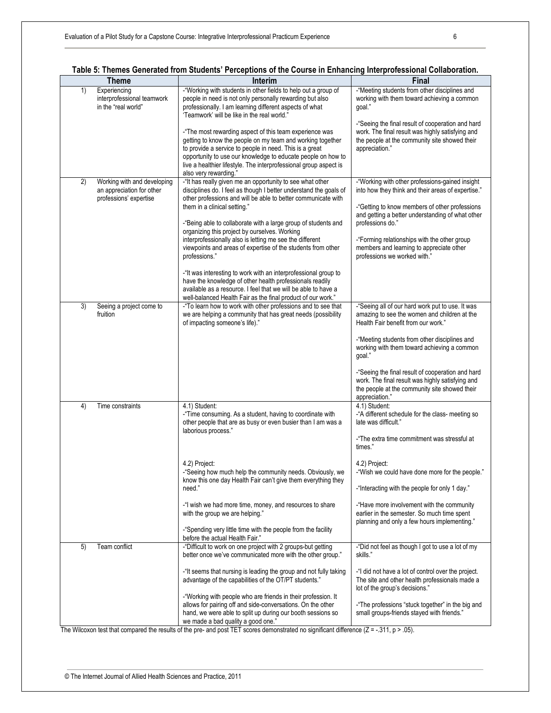| <b>Theme</b>                                                                             | Interim                                                                                                                                                                                                                                                                                                                                        | Final                                                                                                                                                                                                       |  |
|------------------------------------------------------------------------------------------|------------------------------------------------------------------------------------------------------------------------------------------------------------------------------------------------------------------------------------------------------------------------------------------------------------------------------------------------|-------------------------------------------------------------------------------------------------------------------------------------------------------------------------------------------------------------|--|
| 1)<br>Experiencing<br>interprofessional teamwork<br>in the "real world"                  | -"Working with students in other fields to help out a group of<br>people in need is not only personally rewarding but also<br>professionally. I am learning different aspects of what<br>'Teamwork' will be like in the real world."                                                                                                           | -"Meeting students from other disciplines and<br>working with them toward achieving a common<br>goal."<br>-"Seeing the final result of cooperation and hard                                                 |  |
|                                                                                          | -"The most rewarding aspect of this team experience was<br>getting to know the people on my team and working together<br>to provide a service to people in need. This is a great<br>opportunity to use our knowledge to educate people on how to<br>live a healthier lifestyle. The interprofessional group aspect is<br>also very rewarding." | work. The final result was highly satisfying and<br>the people at the community site showed their<br>appreciation."                                                                                         |  |
| Working with and developing<br>2)<br>an appreciation for other<br>professions' expertise | -"It has really given me an opportunity to see what other<br>disciplines do. I feel as though I better understand the goals of<br>other professions and will be able to better communicate with<br>them in a clinical setting."                                                                                                                | -"Working with other professions-gained insight<br>into how they think and their areas of expertise."<br>-"Getting to know members of other professions<br>and getting a better understanding of what other |  |
|                                                                                          | -"Being able to collaborate with a large group of students and<br>organizing this project by ourselves. Working<br>interprofessionally also is letting me see the different<br>viewpoints and areas of expertise of the students from other                                                                                                    | professions do."<br>-"Forming relationships with the other group<br>members and learning to appreciate other                                                                                                |  |
|                                                                                          | professions."                                                                                                                                                                                                                                                                                                                                  | professions we worked with."                                                                                                                                                                                |  |
|                                                                                          | -"It was interesting to work with an interprofessional group to<br>have the knowledge of other health professionals readily<br>available as a resource. I feel that we will be able to have a<br>well-balanced Health Fair as the final product of our work."                                                                                  |                                                                                                                                                                                                             |  |
| 3)<br>Seeing a project come to<br>fruition                                               | -"To learn how to work with other professions and to see that<br>we are helping a community that has great needs (possibility<br>of impacting someone's life)."                                                                                                                                                                                | -"Seeing all of our hard work put to use. It was<br>amazing to see the women and children at the<br>Health Fair benefit from our work."                                                                     |  |
|                                                                                          |                                                                                                                                                                                                                                                                                                                                                | -"Meeting students from other disciplines and<br>working with them toward achieving a common<br>goal."                                                                                                      |  |
|                                                                                          |                                                                                                                                                                                                                                                                                                                                                | -"Seeing the final result of cooperation and hard<br>work. The final result was highly satisfying and<br>the people at the community site showed their<br>appreciation."                                    |  |
| 4)<br>Time constraints                                                                   | 4.1) Student:<br>-"Time consuming. As a student, having to coordinate with<br>other people that are as busy or even busier than I am was a<br>laborious process."                                                                                                                                                                              | 4.1) Student:<br>-"A different schedule for the class- meeting so<br>late was difficult."                                                                                                                   |  |
|                                                                                          |                                                                                                                                                                                                                                                                                                                                                | -"The extra time commitment was stressful at<br>times."                                                                                                                                                     |  |
|                                                                                          | 4.2) Project:<br>-"Seeing how much help the community needs. Obviously, we<br>know this one day Health Fair can't give them everything they                                                                                                                                                                                                    | 4.2) Project:<br>-"Wish we could have done more for the people."                                                                                                                                            |  |
|                                                                                          | need."<br>-"I wish we had more time, money, and resources to share                                                                                                                                                                                                                                                                             | -"Interacting with the people for only 1 day."<br>-"Have more involvement with the community                                                                                                                |  |
|                                                                                          | with the group we are helping."                                                                                                                                                                                                                                                                                                                | earlier in the semester. So much time spent<br>planning and only a few hours implementing."                                                                                                                 |  |
|                                                                                          | -"Spending very little time with the people from the facility<br>before the actual Health Fair."                                                                                                                                                                                                                                               |                                                                                                                                                                                                             |  |
| Team conflict<br>5)                                                                      | -"Difficult to work on one project with 2 groups-but getting<br>better once we've communicated more with the other group."                                                                                                                                                                                                                     | -"Did not feel as though I got to use a lot of my<br>skills."                                                                                                                                               |  |
|                                                                                          | -"It seems that nursing is leading the group and not fully taking<br>advantage of the capabilities of the OT/PT students."                                                                                                                                                                                                                     | -"I did not have a lot of control over the project.<br>The site and other health professionals made a<br>lot of the group's decisions."                                                                     |  |
|                                                                                          | -"Working with people who are friends in their profession. It<br>allows for pairing off and side-conversations. On the other<br>hand, we were able to split up during our booth sessions so<br>we made a bad quality a good one."                                                                                                              | -"The professions "stuck together" in the big and<br>small groups-friends stayed with friends."                                                                                                             |  |

|  |  | Table 5: Themes Generated from Students' Perceptions of the Course in Enhancing Interprofessional Collaboration. |
|--|--|------------------------------------------------------------------------------------------------------------------|
|  |  |                                                                                                                  |

The Wilcoxon test that compared the results of the pre- and post TET scores demonstrated no significant difference  $(Z = -.311, p > .05)$ .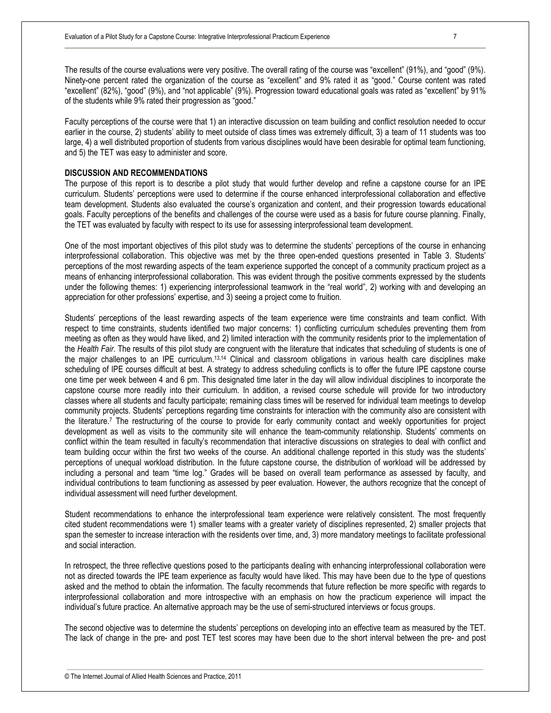The results of the course evaluations were very positive. The overall rating of the course was "excellent" (91%), and "good" (9%). Ninety-one percent rated the organization of the course as "excellent" and 9% rated it as "good." Course content was rated "excellent" (82%), "good" (9%), and "not applicable" (9%). Progression toward educational goals was rated as "excellent" by 91% of the students while 9% rated their progression as "good."

Faculty perceptions of the course were that 1) an interactive discussion on team building and conflict resolution needed to occur earlier in the course, 2) students' ability to meet outside of class times was extremely difficult, 3) a team of 11 students was too large, 4) a well distributed proportion of students from various disciplines would have been desirable for optimal team functioning, and 5) the TET was easy to administer and score.

## **DISCUSSION AND RECOMMENDATIONS**

The purpose of this report is to describe a pilot study that would further develop and refine a capstone course for an IPE curriculum. Students' perceptions were used to determine if the course enhanced interprofessional collaboration and effective team development. Students also evaluated the course's organization and content, and their progression towards educational goals. Faculty perceptions of the benefits and challenges of the course were used as a basis for future course planning. Finally, the TET was evaluated by faculty with respect to its use for assessing interprofessional team development.

One of the most important objectives of this pilot study was to determine the students' perceptions of the course in enhancing interprofessional collaboration. This objective was met by the three open-ended questions presented in Table 3. Students' perceptions of the most rewarding aspects of the team experience supported the concept of a community practicum project as a means of enhancing interprofessional collaboration. This was evident through the positive comments expressed by the students under the following themes: 1) experiencing interprofessional teamwork in the "real world", 2) working with and developing an appreciation for other professions' expertise, and 3) seeing a project come to fruition.

Students' perceptions of the least rewarding aspects of the team experience were time constraints and team conflict. With respect to time constraints, students identified two major concerns: 1) conflicting curriculum schedules preventing them from meeting as often as they would have liked, and 2) limited interaction with the community residents prior to the implementation of the *Health Fair*. The results of this pilot study are congruent with the literature that indicates that scheduling of students is one of the major challenges to an IPE curriculum.13,14 Clinical and classroom obligations in various health care disciplines make scheduling of IPE courses difficult at best. A strategy to address scheduling conflicts is to offer the future IPE capstone course one time per week between 4 and 6 pm. This designated time later in the day will allow individual disciplines to incorporate the capstone course more readily into their curriculum. In addition, a revised course schedule will provide for two introductory classes where all students and faculty participate; remaining class times will be reserved for individual team meetings to develop community projects. Students' perceptions regarding time constraints for interaction with the community also are consistent with the literature.<sup>7</sup> The restructuring of the course to provide for early community contact and weekly opportunities for project development as well as visits to the community site will enhance the team-community relationship. Students' comments on conflict within the team resulted in faculty's recommendation that interactive discussions on strategies to deal with conflict and team building occur within the first two weeks of the course. An additional challenge reported in this study was the students' perceptions of unequal workload distribution. In the future capstone course, the distribution of workload will be addressed by including a personal and team "time log." Grades will be based on overall team performance as assessed by faculty, and individual contributions to team functioning as assessed by peer evaluation. However, the authors recognize that the concept of individual assessment will need further development.

Student recommendations to enhance the interprofessional team experience were relatively consistent. The most frequently cited student recommendations were 1) smaller teams with a greater variety of disciplines represented, 2) smaller projects that span the semester to increase interaction with the residents over time, and, 3) more mandatory meetings to facilitate professional and social interaction.

In retrospect, the three reflective questions posed to the participants dealing with enhancing interprofessional collaboration were not as directed towards the IPE team experience as faculty would have liked. This may have been due to the type of questions asked and the method to obtain the information. The faculty recommends that future reflection be more specific with regards to interprofessional collaboration and more introspective with an emphasis on how the practicum experience will impact the individual's future practice. An alternative approach may be the use of semi-structured interviews or focus groups.

The second objective was to determine the students' perceptions on developing into an effective team as measured by the TET. The lack of change in the pre- and post TET test scores may have been due to the short interval between the pre- and post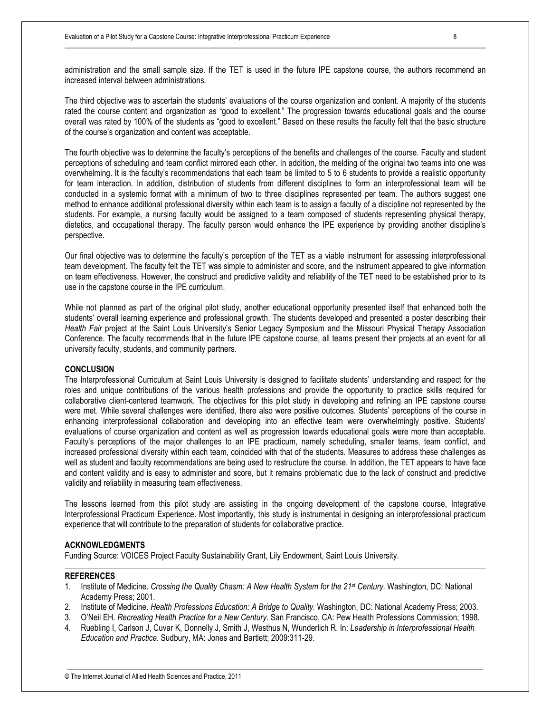administration and the small sample size. If the TET is used in the future IPE capstone course, the authors recommend an increased interval between administrations.

The third objective was to ascertain the students' evaluations of the course organization and content. A majority of the students rated the course content and organization as "good to excellent." The progression towards educational goals and the course overall was rated by 100% of the students as "good to excellent." Based on these results the faculty felt that the basic structure of the course's organization and content was acceptable.

The fourth objective was to determine the faculty's perceptions of the benefits and challenges of the course. Faculty and student perceptions of scheduling and team conflict mirrored each other. In addition, the melding of the original two teams into one was overwhelming. It is the faculty's recommendations that each team be limited to 5 to 6 students to provide a realistic opportunity for team interaction. In addition, distribution of students from different disciplines to form an interprofessional team will be conducted in a systemic format with a minimum of two to three disciplines represented per team. The authors suggest one method to enhance additional professional diversity within each team is to assign a faculty of a discipline not represented by the students. For example, a nursing faculty would be assigned to a team composed of students representing physical therapy, dietetics, and occupational therapy. The faculty person would enhance the IPE experience by providing another discipline's perspective.

Our final objective was to determine the faculty's perception of the TET as a viable instrument for assessing interprofessional team development. The faculty felt the TET was simple to administer and score, and the instrument appeared to give information on team effectiveness. However, the construct and predictive validity and reliability of the TET need to be established prior to its use in the capstone course in the IPE curriculum.

While not planned as part of the original pilot study, another educational opportunity presented itself that enhanced both the students' overall learning experience and professional growth. The students developed and presented a poster describing their *Health Fair* project at the Saint Louis University's Senior Legacy Symposium and the Missouri Physical Therapy Association Conference. The faculty recommends that in the future IPE capstone course, all teams present their projects at an event for all university faculty, students, and community partners.

## **CONCLUSION**

The Interprofessional Curriculum at Saint Louis University is designed to facilitate students' understanding and respect for the roles and unique contributions of the various health professions and provide the opportunity to practice skills required for collaborative client-centered teamwork. The objectives for this pilot study in developing and refining an IPE capstone course were met. While several challenges were identified, there also were positive outcomes. Students' perceptions of the course in enhancing interprofessional collaboration and developing into an effective team were overwhelmingly positive. Students' evaluations of course organization and content as well as progression towards educational goals were more than acceptable. Faculty's perceptions of the major challenges to an IPE practicum, namely scheduling, smaller teams, team conflict, and increased professional diversity within each team, coincided with that of the students. Measures to address these challenges as well as student and faculty recommendations are being used to restructure the course. In addition, the TET appears to have face and content validity and is easy to administer and score, but it remains problematic due to the lack of construct and predictive validity and reliability in measuring team effectiveness.

The lessons learned from this pilot study are assisting in the ongoing development of the capstone course, Integrative Interprofessional Practicum Experience. Most importantly, this study is instrumental in designing an interprofessional practicum experience that will contribute to the preparation of students for collaborative practice.

#### **ACKNOWLEDGMENTS**

Funding Source: VOICES Project Faculty Sustainability Grant, Lily Endowment, Saint Louis University.

## **REFERENCES**

- 1. Institute of Medicine. *Crossing the Quality Chasm: A New Health System for the 21st Century.* Washington, DC: National Academy Press; 2001.
- 2. Institute of Medicine. *Health Professions Education: A Bridge to Quality.* Washington, DC: National Academy Press; 2003.
- 3. O'Neil EH. *Recreating Health Practice for a New Century.* San Francisco, CA: Pew Health Professions Commission; 1998.
- 4. Ruebling I, Carlson J, Cuvar K, Donnelly J, Smith J, Westhus N, Wunderlich R. In: *Leadership in Interprofessional Health Education and Practice*. Sudbury, MA: Jones and Bartlett; 2009:311-29.